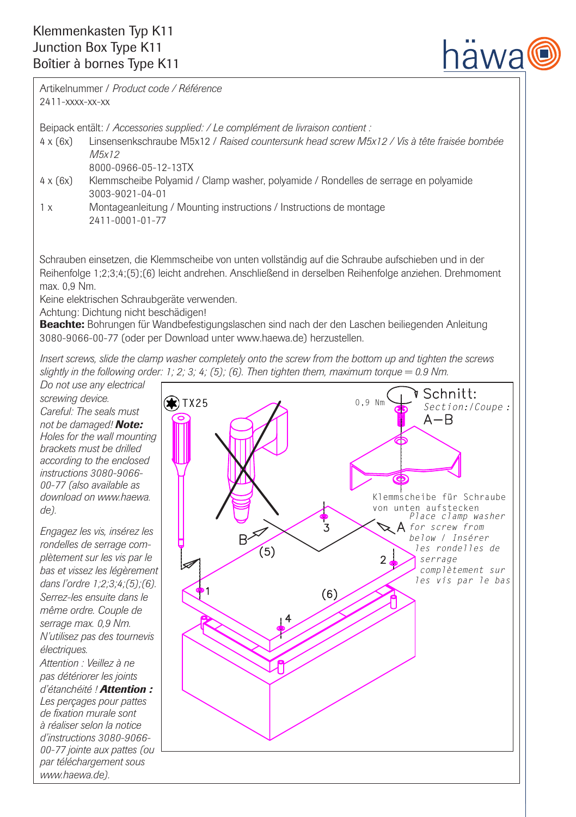# Klemmenkasten Typ K11 Junction Box Type K11 Boîtier à bornes Type K11



Artikelnummer / *Product code / Référence* 2411-xxxx-xx-xx

Beipack entält: / *Accessories supplied: / Le complément de livraison contient : 4 x (6x)* Linsensenkschraube M5x12 / *Raised countersunk head screw M5*.

- 4 x (6x) Linsensenkschraube M5x12 / *Raised countersunk head screw M5x12 / Vis à tête fraisée bombée M5x12*
	- 8000-0966-05-12-13TX
- 4 x (6x) Klemmscheibe Polyamid / Clamp washer, polyamide / Rondelles de serrage en polyamide 3003-9021-04-01
- 1 x Montageanleitung / Mounting instructions / Instructions de montage 2411-0001-01-77

Schrauben einsetzen, die Klemmscheibe von unten vollständig auf die Schraube aufschieben und in der Reihenfolge 1;2;3;4;(5);(6) leicht andrehen. Anschließend in derselben Reihenfolge anziehen. Drehmoment max. 0,9 Nm.

Keine elektrischen Schraubgeräte verwenden.

Achtung: Dichtung nicht beschädigen!

Beachte: Bohrungen für Wandbefestigungslaschen sind nach der den Laschen beiliegenden Anleitung 3080-9066-00-77 (oder per Download unter www.haewa.de) herzustellen.

*Insert screws, slide the clamp washer completely onto the screw from the bottom up and tighten the screws slightly in the following order: 1; 2; 3; 4; (5); (6). Then tighten them, maximum torque = 0.9 Nm.*

*Do not use any electrical screwing device. Careful: The seals must not be damaged! Note: Holes for the wall mounting brackets must be drilled according to the enclosed instructions 3080-9066- 00-77 (also available as download on www.haewa. de).* 

*Engagez les vis, insérez les rondelles de serrage complètement sur les vis par le bas et vissez les légèrement dans l'ordre 1;2;3;4;(5);(6). Serrez-les ensuite dans le même ordre. Couple de serrage max. 0,9 Nm. N'utilisez pas des tournevis électriques.*

*Attention : Veillez à ne pas détériorer les joints d'étanchéité ! Attention : Les perçages pour pattes de fixation murale sont à réaliser selon la notice d'instructions 3080-9066- 00-77 jointe aux pattes (ou par téléchargement sous www.haewa.de).*